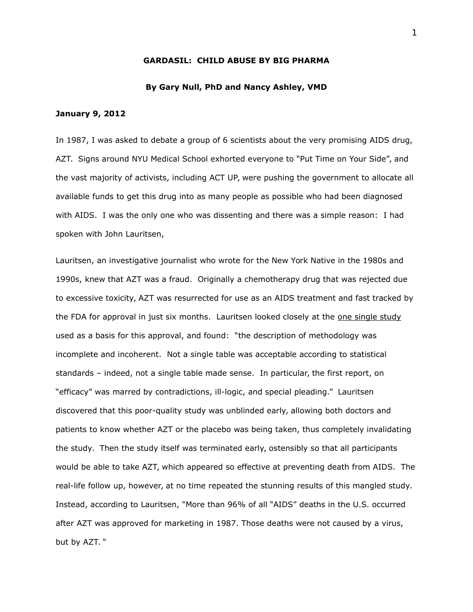### **GARDASIL: CHILD ABUSE BY BIG PHARMA**

### **By Gary Null, PhD and Nancy Ashley, VMD**

#### **January 9, 2012**

In 1987, I was asked to debate a group of 6 scientists about the very promising AIDS drug, AZT. Signs around NYU Medical School exhorted everyone to "Put Time on Your Side", and the vast majority of activists, including ACT UP, were pushing the government to allocate all available funds to get this drug into as many people as possible who had been diagnosed with AIDS. I was the only one who was dissenting and there was a simple reason: I had spoken with John Lauritsen,

Lauritsen, an investigative journalist who wrote for the New York Native in the 1980s and 1990s, knew that AZT was a fraud. Originally a chemotherapy drug that was rejected due to excessive toxicity, AZT was resurrected for use as an AIDS treatment and fast tracked by the FDA for approval in just six months. Lauritsen looked closely at the one single study used as a basis for this approval, and found: "the description of methodology was incomplete and incoherent. Not a single table was acceptable according to statistical standards – indeed, not a single table made sense. In particular, the first report, on "efficacy" was marred by contradictions, ill-logic, and special pleading." Lauritsen discovered that this poor-quality study was unblinded early, allowing both doctors and patients to know whether AZT or the placebo was being taken, thus completely invalidating the study. Then the study itself was terminated early, ostensibly so that all participants would be able to take AZT, which appeared so effective at preventing death from AIDS. The real-life follow up, however, at no time repeated the stunning results of this mangled study. Instead, according to Lauritsen, "More than 96% of all "AIDS" deaths in the U.S. occurred after AZT was approved for marketing in 1987. Those deaths were not caused by a virus, but by AZT. "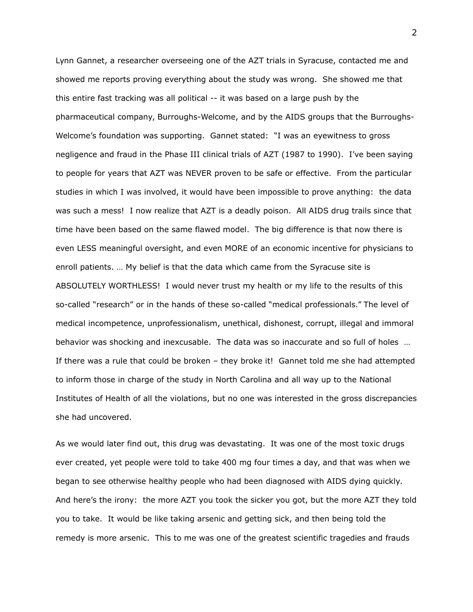Lynn Gannet, a researcher overseeing one of the AZT trials in Syracuse, contacted me and showed me reports proving everything about the study was wrong. She showed me that this entire fast tracking was all political -- it was based on a large push by the pharmaceutical company, Burroughs-Welcome, and by the AIDS groups that the Burroughs-Welcome's foundation was supporting. Gannet stated: "I was an eyewitness to gross negligence and fraud in the Phase III clinical trials of AZT (1987 to 1990). I've been saying to people for years that AZT was NEVER proven to be safe or effective. From the particular studies in which I was involved, it would have been impossible to prove anything: the data was such a mess! I now realize that AZT is a deadly poison. All AIDS drug trails since that time have been based on the same flawed model. The big difference is that now there is even LESS meaningful oversight, and even MORE of an economic incentive for physicians to enroll patients. … My belief is that the data which came from the Syracuse site is ABSOLUTELY WORTHLESS! I would never trust my health or my life to the results of this so-called "research" or in the hands of these so-called "medical professionals." The level of medical incompetence, unprofessionalism, unethical, dishonest, corrupt, illegal and immoral behavior was shocking and inexcusable. The data was so inaccurate and so full of holes … If there was a rule that could be broken – they broke it! Gannet told me she had attempted to inform those in charge of the study in North Carolina and all way up to the National Institutes of Health of all the violations, but no one was interested in the gross discrepancies she had uncovered.

As we would later find out, this drug was devastating. It was one of the most toxic drugs ever created, yet people were told to take 400 mg four times a day, and that was when we began to see otherwise healthy people who had been diagnosed with AIDS dying quickly. And here's the irony: the more AZT you took the sicker you got, but the more AZT they told you to take. It would be like taking arsenic and getting sick, and then being told the remedy is more arsenic. This to me was one of the greatest scientific tragedies and frauds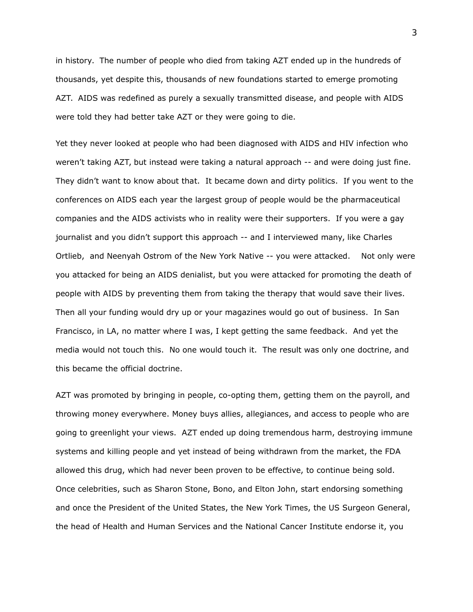in history. The number of people who died from taking AZT ended up in the hundreds of thousands, yet despite this, thousands of new foundations started to emerge promoting AZT. AIDS was redefined as purely a sexually transmitted disease, and people with AIDS were told they had better take AZT or they were going to die.

Yet they never looked at people who had been diagnosed with AIDS and HIV infection who weren't taking AZT, but instead were taking a natural approach -- and were doing just fine. They didn't want to know about that. It became down and dirty politics. If you went to the conferences on AIDS each year the largest group of people would be the pharmaceutical companies and the AIDS activists who in reality were their supporters. If you were a gay journalist and you didn't support this approach -- and I interviewed many, like Charles Ortlieb, and Neenyah Ostrom of the New York Native -- you were attacked. Not only were you attacked for being an AIDS denialist, but you were attacked for promoting the death of people with AIDS by preventing them from taking the therapy that would save their lives. Then all your funding would dry up or your magazines would go out of business. In San Francisco, in LA, no matter where I was, I kept getting the same feedback. And yet the media would not touch this. No one would touch it. The result was only one doctrine, and this became the official doctrine.

AZT was promoted by bringing in people, co-opting them, getting them on the payroll, and throwing money everywhere. Money buys allies, allegiances, and access to people who are going to greenlight your views. AZT ended up doing tremendous harm, destroying immune systems and killing people and yet instead of being withdrawn from the market, the FDA allowed this drug, which had never been proven to be effective, to continue being sold. Once celebrities, such as Sharon Stone, Bono, and Elton John, start endorsing something and once the President of the United States, the New York Times, the US Surgeon General, the head of Health and Human Services and the National Cancer Institute endorse it, you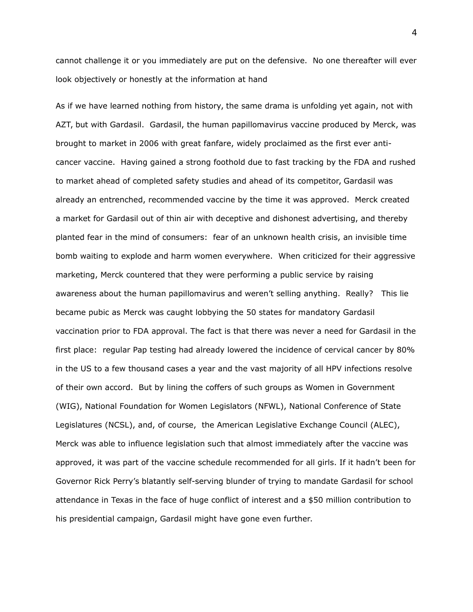cannot challenge it or you immediately are put on the defensive. No one thereafter will ever look objectively or honestly at the information at hand

As if we have learned nothing from history, the same drama is unfolding yet again, not with AZT, but with Gardasil. Gardasil, the human papillomavirus vaccine produced by Merck, was brought to market in 2006 with great fanfare, widely proclaimed as the first ever anticancer vaccine. Having gained a strong foothold due to fast tracking by the FDA and rushed to market ahead of completed safety studies and ahead of its competitor, Gardasil was already an entrenched, recommended vaccine by the time it was approved. Merck created a market for Gardasil out of thin air with deceptive and dishonest advertising, and thereby planted fear in the mind of consumers: fear of an unknown health crisis, an invisible time bomb waiting to explode and harm women everywhere. When criticized for their aggressive marketing, Merck countered that they were performing a public service by raising awareness about the human papillomavirus and weren't selling anything. Really? This lie became pubic as Merck was caught lobbying the 50 states for mandatory Gardasil vaccination prior to FDA approval. The fact is that there was never a need for Gardasil in the first place: regular Pap testing had already lowered the incidence of cervical cancer by 80% in the US to a few thousand cases a year and the vast majority of all HPV infections resolve of their own accord. But by lining the coffers of such groups as Women in Government (WIG), National Foundation for Women Legislators (NFWL), National Conference of State Legislatures (NCSL), and, of course, the American Legislative Exchange Council (ALEC), Merck was able to influence legislation such that almost immediately after the vaccine was approved, it was part of the vaccine schedule recommended for all girls. If it hadn't been for Governor Rick Perry's blatantly self-serving blunder of trying to mandate Gardasil for school attendance in Texas in the face of huge conflict of interest and a \$50 million contribution to his presidential campaign, Gardasil might have gone even further.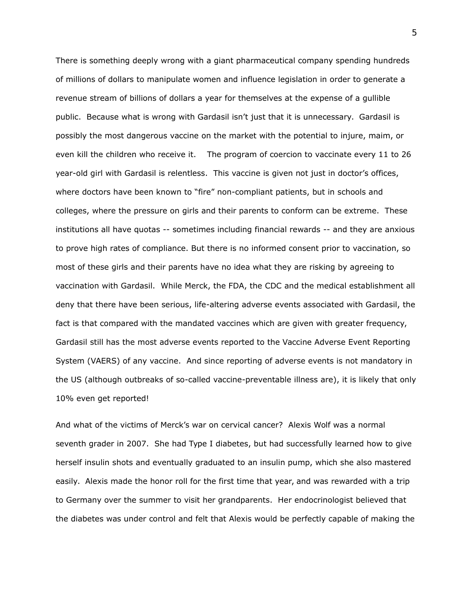There is something deeply wrong with a giant pharmaceutical company spending hundreds of millions of dollars to manipulate women and influence legislation in order to generate a revenue stream of billions of dollars a year for themselves at the expense of a gullible public. Because what is wrong with Gardasil isn't just that it is unnecessary. Gardasil is possibly the most dangerous vaccine on the market with the potential to injure, maim, or even kill the children who receive it. The program of coercion to vaccinate every 11 to 26 year-old girl with Gardasil is relentless. This vaccine is given not just in doctor's offices, where doctors have been known to "fire" non-compliant patients, but in schools and colleges, where the pressure on girls and their parents to conform can be extreme. These institutions all have quotas -- sometimes including financial rewards -- and they are anxious to prove high rates of compliance. But there is no informed consent prior to vaccination, so most of these girls and their parents have no idea what they are risking by agreeing to vaccination with Gardasil. While Merck, the FDA, the CDC and the medical establishment all deny that there have been serious, life-altering adverse events associated with Gardasil, the fact is that compared with the mandated vaccines which are given with greater frequency, Gardasil still has the most adverse events reported to the Vaccine Adverse Event Reporting System (VAERS) of any vaccine. And since reporting of adverse events is not mandatory in the US (although outbreaks of so-called vaccine-preventable illness are), it is likely that only 10% even get reported!

And what of the victims of Merck's war on cervical cancer? Alexis Wolf was a normal seventh grader in 2007. She had Type I diabetes, but had successfully learned how to give herself insulin shots and eventually graduated to an insulin pump, which she also mastered easily. Alexis made the honor roll for the first time that year, and was rewarded with a trip to Germany over the summer to visit her grandparents. Her endocrinologist believed that the diabetes was under control and felt that Alexis would be perfectly capable of making the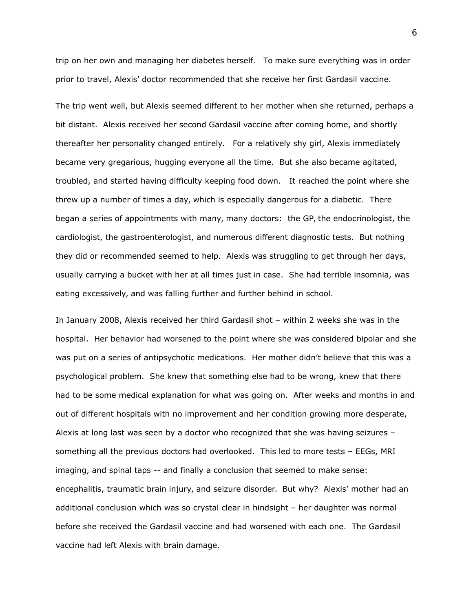trip on her own and managing her diabetes herself. To make sure everything was in order prior to travel, Alexis' doctor recommended that she receive her first Gardasil vaccine.

The trip went well, but Alexis seemed different to her mother when she returned, perhaps a bit distant. Alexis received her second Gardasil vaccine after coming home, and shortly thereafter her personality changed entirely. For a relatively shy girl, Alexis immediately became very gregarious, hugging everyone all the time. But she also became agitated, troubled, and started having difficulty keeping food down. It reached the point where she threw up a number of times a day, which is especially dangerous for a diabetic. There began a series of appointments with many, many doctors: the GP, the endocrinologist, the cardiologist, the gastroenterologist, and numerous different diagnostic tests. But nothing they did or recommended seemed to help. Alexis was struggling to get through her days, usually carrying a bucket with her at all times just in case. She had terrible insomnia, was eating excessively, and was falling further and further behind in school.

In January 2008, Alexis received her third Gardasil shot – within 2 weeks she was in the hospital. Her behavior had worsened to the point where she was considered bipolar and she was put on a series of antipsychotic medications. Her mother didn't believe that this was a psychological problem. She knew that something else had to be wrong, knew that there had to be some medical explanation for what was going on. After weeks and months in and out of different hospitals with no improvement and her condition growing more desperate, Alexis at long last was seen by a doctor who recognized that she was having seizures – something all the previous doctors had overlooked. This led to more tests – EEGs, MRI imaging, and spinal taps -- and finally a conclusion that seemed to make sense: encephalitis, traumatic brain injury, and seizure disorder. But why? Alexis' mother had an additional conclusion which was so crystal clear in hindsight – her daughter was normal before she received the Gardasil vaccine and had worsened with each one. The Gardasil vaccine had left Alexis with brain damage.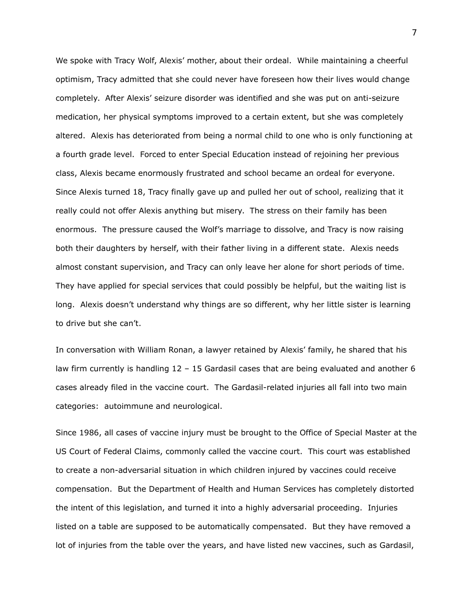We spoke with Tracy Wolf, Alexis' mother, about their ordeal. While maintaining a cheerful optimism, Tracy admitted that she could never have foreseen how their lives would change completely. After Alexis' seizure disorder was identified and she was put on anti-seizure medication, her physical symptoms improved to a certain extent, but she was completely altered. Alexis has deteriorated from being a normal child to one who is only functioning at a fourth grade level. Forced to enter Special Education instead of rejoining her previous class, Alexis became enormously frustrated and school became an ordeal for everyone. Since Alexis turned 18, Tracy finally gave up and pulled her out of school, realizing that it really could not offer Alexis anything but misery. The stress on their family has been enormous. The pressure caused the Wolf's marriage to dissolve, and Tracy is now raising both their daughters by herself, with their father living in a different state. Alexis needs almost constant supervision, and Tracy can only leave her alone for short periods of time. They have applied for special services that could possibly be helpful, but the waiting list is long. Alexis doesn't understand why things are so different, why her little sister is learning to drive but she can't.

In conversation with William Ronan, a lawyer retained by Alexis' family, he shared that his law firm currently is handling 12 - 15 Gardasil cases that are being evaluated and another 6 cases already filed in the vaccine court. The Gardasil-related injuries all fall into two main categories: autoimmune and neurological.

Since 1986, all cases of vaccine injury must be brought to the Office of Special Master at the US Court of Federal Claims, commonly called the vaccine court. This court was established to create a non-adversarial situation in which children injured by vaccines could receive compensation. But the Department of Health and Human Services has completely distorted the intent of this legislation, and turned it into a highly adversarial proceeding. Injuries listed on a table are supposed to be automatically compensated. But they have removed a lot of injuries from the table over the years, and have listed new vaccines, such as Gardasil,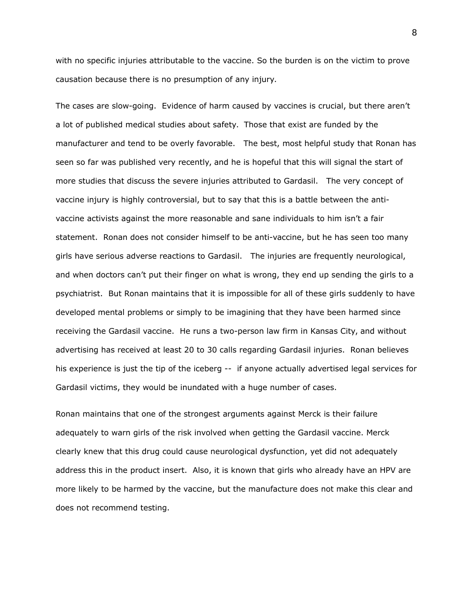with no specific injuries attributable to the vaccine. So the burden is on the victim to prove causation because there is no presumption of any injury.

The cases are slow-going. Evidence of harm caused by vaccines is crucial, but there aren't a lot of published medical studies about safety. Those that exist are funded by the manufacturer and tend to be overly favorable. The best, most helpful study that Ronan has seen so far was published very recently, and he is hopeful that this will signal the start of more studies that discuss the severe injuries attributed to Gardasil. The very concept of vaccine injury is highly controversial, but to say that this is a battle between the antivaccine activists against the more reasonable and sane individuals to him isn't a fair statement. Ronan does not consider himself to be anti-vaccine, but he has seen too many girls have serious adverse reactions to Gardasil. The injuries are frequently neurological, and when doctors can't put their finger on what is wrong, they end up sending the girls to a psychiatrist. But Ronan maintains that it is impossible for all of these girls suddenly to have developed mental problems or simply to be imagining that they have been harmed since receiving the Gardasil vaccine. He runs a two-person law firm in Kansas City, and without advertising has received at least 20 to 30 calls regarding Gardasil injuries. Ronan believes his experience is just the tip of the iceberg -- if anyone actually advertised legal services for Gardasil victims, they would be inundated with a huge number of cases.

Ronan maintains that one of the strongest arguments against Merck is their failure adequately to warn girls of the risk involved when getting the Gardasil vaccine. Merck clearly knew that this drug could cause neurological dysfunction, yet did not adequately address this in the product insert. Also, it is known that girls who already have an HPV are more likely to be harmed by the vaccine, but the manufacture does not make this clear and does not recommend testing.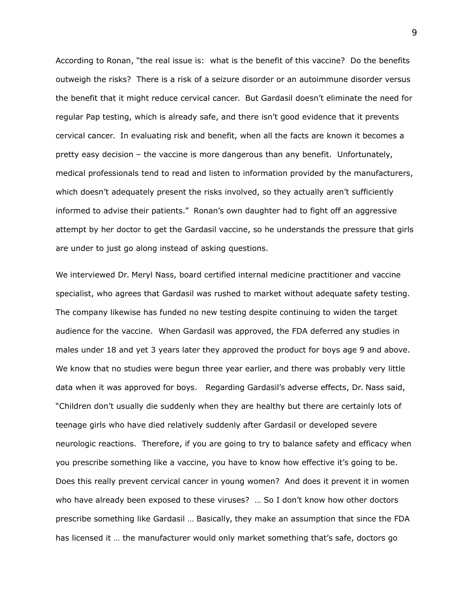According to Ronan, "the real issue is: what is the benefit of this vaccine? Do the benefits outweigh the risks? There is a risk of a seizure disorder or an autoimmune disorder versus the benefit that it might reduce cervical cancer. But Gardasil doesn't eliminate the need for regular Pap testing, which is already safe, and there isn't good evidence that it prevents cervical cancer. In evaluating risk and benefit, when all the facts are known it becomes a pretty easy decision – the vaccine is more dangerous than any benefit. Unfortunately, medical professionals tend to read and listen to information provided by the manufacturers, which doesn't adequately present the risks involved, so they actually aren't sufficiently informed to advise their patients." Ronan's own daughter had to fight off an aggressive attempt by her doctor to get the Gardasil vaccine, so he understands the pressure that girls are under to just go along instead of asking questions.

We interviewed Dr. Meryl Nass, board certified internal medicine practitioner and vaccine specialist, who agrees that Gardasil was rushed to market without adequate safety testing. The company likewise has funded no new testing despite continuing to widen the target audience for the vaccine. When Gardasil was approved, the FDA deferred any studies in males under 18 and yet 3 years later they approved the product for boys age 9 and above. We know that no studies were begun three year earlier, and there was probably very little data when it was approved for boys. Regarding Gardasil's adverse effects, Dr. Nass said, "Children don't usually die suddenly when they are healthy but there are certainly lots of teenage girls who have died relatively suddenly after Gardasil or developed severe neurologic reactions. Therefore, if you are going to try to balance safety and efficacy when you prescribe something like a vaccine, you have to know how effective it's going to be. Does this really prevent cervical cancer in young women? And does it prevent it in women who have already been exposed to these viruses? … So I don't know how other doctors prescribe something like Gardasil … Basically, they make an assumption that since the FDA has licensed it … the manufacturer would only market something that's safe, doctors go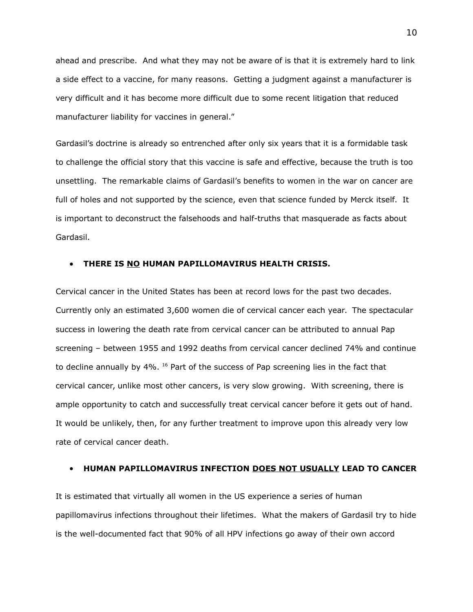ahead and prescribe. And what they may not be aware of is that it is extremely hard to link a side effect to a vaccine, for many reasons. Getting a judgment against a manufacturer is very difficult and it has become more difficult due to some recent litigation that reduced manufacturer liability for vaccines in general."

Gardasil's doctrine is already so entrenched after only six years that it is a formidable task to challenge the official story that this vaccine is safe and effective, because the truth is too unsettling. The remarkable claims of Gardasil's benefits to women in the war on cancer are full of holes and not supported by the science, even that science funded by Merck itself. It is important to deconstruct the falsehoods and half-truths that masquerade as facts about Gardasil.

### **• THERE IS NO HUMAN PAPILLOMAVIRUS HEALTH CRISIS.**

Cervical cancer in the United States has been at record lows for the past two decades. Currently only an estimated 3,600 women die of cervical cancer each year. The spectacular success in lowering the death rate from cervical cancer can be attributed to annual Pap screening – between 1955 and 1992 deaths from cervical cancer declined 74% and continue to decline annually by 4%. <sup>16</sup> Part of the success of Pap screening lies in the fact that cervical cancer, unlike most other cancers, is very slow growing. With screening, there is ample opportunity to catch and successfully treat cervical cancer before it gets out of hand. It would be unlikely, then, for any further treatment to improve upon this already very low rate of cervical cancer death.

### **HUMAN PAPILLOMAVIRUS INFECTION DOES NOT USUALLY LEAD TO CANCER**

It is estimated that virtually all women in the US experience a series of human papillomavirus infections throughout their lifetimes. What the makers of Gardasil try to hide is the well-documented fact that 90% of all HPV infections go away of their own accord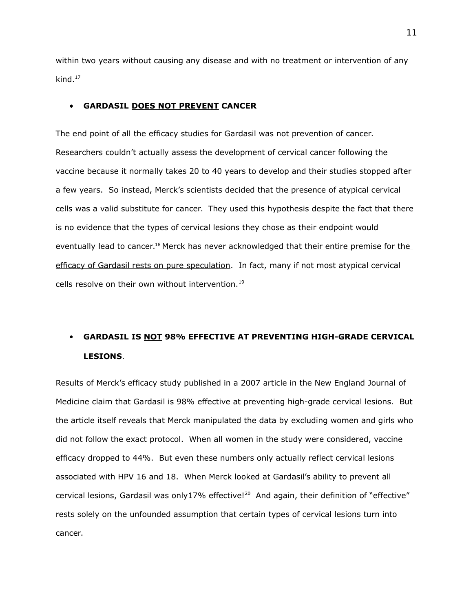within two years without causing any disease and with no treatment or intervention of any kind. $17$ 

### **GARDASIL DOES NOT PREVENT CANCER**

The end point of all the efficacy studies for Gardasil was not prevention of cancer. Researchers couldn't actually assess the development of cervical cancer following the vaccine because it normally takes 20 to 40 years to develop and their studies stopped after a few years. So instead, Merck's scientists decided that the presence of atypical cervical cells was a valid substitute for cancer. They used this hypothesis despite the fact that there is no evidence that the types of cervical lesions they chose as their endpoint would eventually lead to cancer.<sup>18</sup> Merck has never acknowledged that their entire premise for the efficacy of Gardasil rests on pure speculation. In fact, many if not most atypical cervical cells resolve on their own without intervention.<sup>19</sup>

# **GARDASIL IS NOT 98% EFFECTIVE AT PREVENTING HIGH-GRADE CERVICAL LESIONS**.

Results of Merck's efficacy study published in a 2007 article in the New England Journal of Medicine claim that Gardasil is 98% effective at preventing high-grade cervical lesions. But the article itself reveals that Merck manipulated the data by excluding women and girls who did not follow the exact protocol. When all women in the study were considered, vaccine efficacy dropped to 44%. But even these numbers only actually reflect cervical lesions associated with HPV 16 and 18. When Merck looked at Gardasil's ability to prevent all cervical lesions, Gardasil was only17% effective!<sup>20</sup> And again, their definition of "effective" rests solely on the unfounded assumption that certain types of cervical lesions turn into cancer.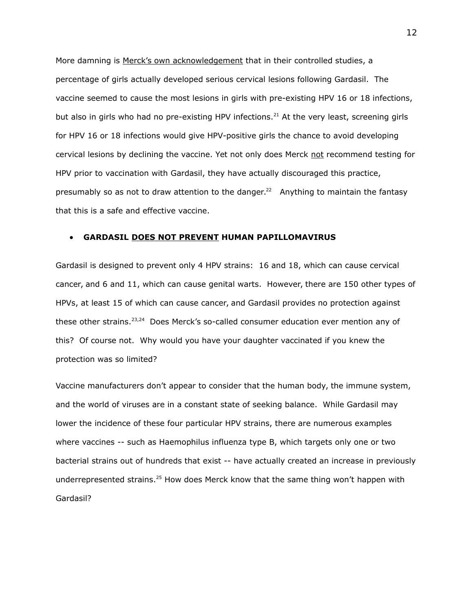More damning is Merck's own acknowledgement that in their controlled studies, a percentage of girls actually developed serious cervical lesions following Gardasil. The vaccine seemed to cause the most lesions in girls with pre-existing HPV 16 or 18 infections, but also in girls who had no pre-existing HPV infections.<sup>21</sup> At the very least, screening girls for HPV 16 or 18 infections would give HPV-positive girls the chance to avoid developing cervical lesions by declining the vaccine. Yet not only does Merck not recommend testing for HPV prior to vaccination with Gardasil, they have actually discouraged this practice, presumably so as not to draw attention to the danger.<sup>22</sup> Anything to maintain the fantasy that this is a safe and effective vaccine.

#### **GARDASIL DOES NOT PREVENT HUMAN PAPILLOMAVIRUS**

Gardasil is designed to prevent only 4 HPV strains: 16 and 18, which can cause cervical cancer, and 6 and 11, which can cause genital warts. However, there are 150 other types of HPVs, at least 15 of which can cause cancer, and Gardasil provides no protection against these other strains.<sup>23,24</sup> Does Merck's so-called consumer education ever mention any of this? Of course not. Why would you have your daughter vaccinated if you knew the protection was so limited?

Vaccine manufacturers don't appear to consider that the human body, the immune system, and the world of viruses are in a constant state of seeking balance. While Gardasil may lower the incidence of these four particular HPV strains, there are numerous examples where vaccines -- such as Haemophilus influenza type B, which targets only one or two bacterial strains out of hundreds that exist -- have actually created an increase in previously underrepresented strains.<sup>25</sup> How does Merck know that the same thing won't happen with Gardasil?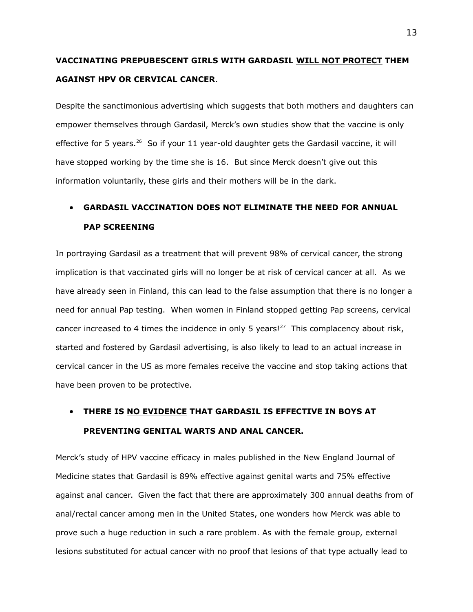# **VACCINATING PREPUBESCENT GIRLS WITH GARDASIL WILL NOT PROTECT THEM AGAINST HPV OR CERVICAL CANCER**.

Despite the sanctimonious advertising which suggests that both mothers and daughters can empower themselves through Gardasil, Merck's own studies show that the vaccine is only effective for 5 years.<sup>26</sup> So if your 11 year-old daughter gets the Gardasil vaccine, it will have stopped working by the time she is 16. But since Merck doesn't give out this information voluntarily, these girls and their mothers will be in the dark.

# **GARDASIL VACCINATION DOES NOT ELIMINATE THE NEED FOR ANNUAL PAP SCREENING**

In portraying Gardasil as a treatment that will prevent 98% of cervical cancer, the strong implication is that vaccinated girls will no longer be at risk of cervical cancer at all. As we have already seen in Finland, this can lead to the false assumption that there is no longer a need for annual Pap testing. When women in Finland stopped getting Pap screens, cervical cancer increased to 4 times the incidence in only 5 years! $^{27}$  This complacency about risk, started and fostered by Gardasil advertising, is also likely to lead to an actual increase in cervical cancer in the US as more females receive the vaccine and stop taking actions that have been proven to be protective.

# **THERE IS NO EVIDENCE THAT GARDASIL IS EFFECTIVE IN BOYS AT PREVENTING GENITAL WARTS AND ANAL CANCER.**

Merck's study of HPV vaccine efficacy in males published in the New England Journal of Medicine states that Gardasil is 89% effective against genital warts and 75% effective against anal cancer. Given the fact that there are approximately 300 annual deaths from of anal/rectal cancer among men in the United States, one wonders how Merck was able to prove such a huge reduction in such a rare problem. As with the female group, external lesions substituted for actual cancer with no proof that lesions of that type actually lead to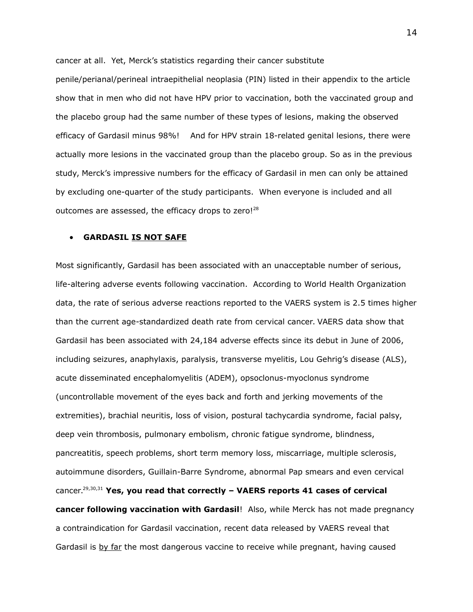cancer at all. Yet, Merck's statistics regarding their cancer substitute

penile/perianal/perineal intraepithelial neoplasia (PIN) listed in their appendix to the article show that in men who did not have HPV prior to vaccination, both the vaccinated group and the placebo group had the same number of these types of lesions, making the observed efficacy of Gardasil minus 98%! And for HPV strain 18-related genital lesions, there were actually more lesions in the vaccinated group than the placebo group. So as in the previous study, Merck's impressive numbers for the efficacy of Gardasil in men can only be attained by excluding one-quarter of the study participants. When everyone is included and all outcomes are assessed, the efficacy drops to zero! $^{28}$ 

### **GARDASIL IS NOT SAFE**

Most significantly, Gardasil has been associated with an unacceptable number of serious, life-altering adverse events following vaccination. According to World Health Organization data, the rate of serious adverse reactions reported to the VAERS system is 2.5 times higher than the current age-standardized death rate from cervical cancer. VAERS data show that Gardasil has been associated with 24,184 adverse effects since its debut in June of 2006, including seizures, anaphylaxis, paralysis, transverse myelitis, Lou Gehrig's disease (ALS), acute disseminated encephalomyelitis (ADEM), opsoclonus-myoclonus syndrome (uncontrollable movement of the eyes back and forth and jerking movements of the extremities), brachial neuritis, loss of vision, postural tachycardia syndrome, facial palsy, deep vein thrombosis, pulmonary embolism, chronic fatigue syndrome, blindness, pancreatitis, speech problems, short term memory loss, miscarriage, multiple sclerosis, autoimmune disorders, Guillain-Barre Syndrome, abnormal Pap smears and even cervical cancer.29,30,31 **Yes, you read that correctly – VAERS reports 41 cases of cervical cancer following vaccination with Gardasil**! Also, while Merck has not made pregnancy a contraindication for Gardasil vaccination, recent data released by VAERS reveal that Gardasil is by far the most dangerous vaccine to receive while pregnant, having caused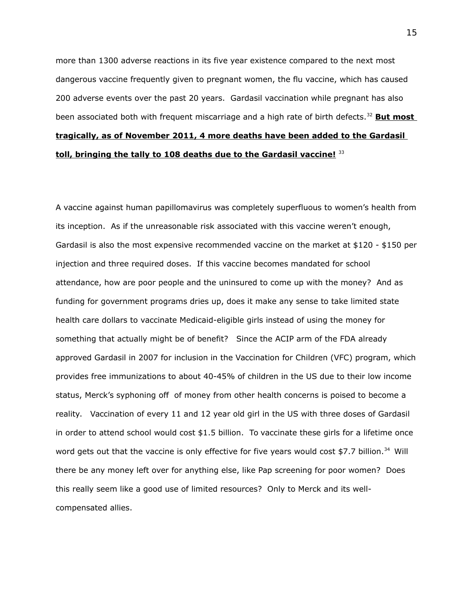more than 1300 adverse reactions in its five year existence compared to the next most dangerous vaccine frequently given to pregnant women, the flu vaccine, which has caused 200 adverse events over the past 20 years. Gardasil vaccination while pregnant has also been associated both with frequent miscarriage and a high rate of birth defects.<sup>32</sup> **But most tragically, as of November 2011, 4 more deaths have been added to the Gardasil toll, bringing the tally to 108 deaths due to the Gardasil vaccine!** <sup>33</sup>

A vaccine against human papillomavirus was completely superfluous to women's health from its inception. As if the unreasonable risk associated with this vaccine weren't enough, Gardasil is also the most expensive recommended vaccine on the market at \$120 - \$150 per injection and three required doses. If this vaccine becomes mandated for school attendance, how are poor people and the uninsured to come up with the money? And as funding for government programs dries up, does it make any sense to take limited state health care dollars to vaccinate Medicaid-eligible girls instead of using the money for something that actually might be of benefit? Since the ACIP arm of the FDA already approved Gardasil in 2007 for inclusion in the Vaccination for Children (VFC) program, which provides free immunizations to about 40-45% of children in the US due to their low income status, Merck's syphoning off of money from other health concerns is poised to become a reality. Vaccination of every 11 and 12 year old girl in the US with three doses of Gardasil in order to attend school would cost \$1.5 billion. To vaccinate these girls for a lifetime once word gets out that the vaccine is only effective for five years would cost \$7.7 billion.<sup>34</sup> Will there be any money left over for anything else, like Pap screening for poor women? Does this really seem like a good use of limited resources? Only to Merck and its wellcompensated allies.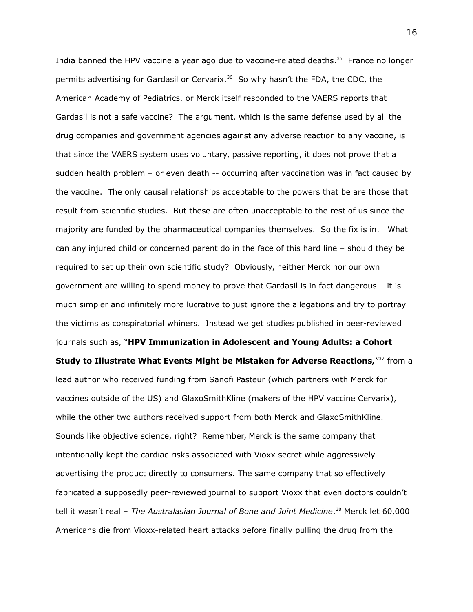India banned the HPV vaccine a year ago due to vaccine-related deaths.<sup>35</sup> France no longer permits advertising for Gardasil or Cervarix.<sup>36</sup> So why hasn't the FDA, the CDC, the American Academy of Pediatrics, or Merck itself responded to the VAERS reports that Gardasil is not a safe vaccine? The argument, which is the same defense used by all the drug companies and government agencies against any adverse reaction to any vaccine, is that since the VAERS system uses voluntary, passive reporting, it does not prove that a sudden health problem – or even death -- occurring after vaccination was in fact caused by the vaccine. The only causal relationships acceptable to the powers that be are those that result from scientific studies. But these are often unacceptable to the rest of us since the majority are funded by the pharmaceutical companies themselves. So the fix is in. What can any injured child or concerned parent do in the face of this hard line – should they be required to set up their own scientific study? Obviously, neither Merck nor our own government are willing to spend money to prove that Gardasil is in fact dangerous – it is much simpler and infinitely more lucrative to just ignore the allegations and try to portray the victims as conspiratorial whiners. Instead we get studies published in peer-reviewed journals such as, "**HPV Immunization in Adolescent and Young Adults: a Cohort Study to Illustrate What Events Might be Mistaken for Adverse Reactions,**"<sup>37</sup> from a lead author who received funding from Sanofi Pasteur (which partners with Merck for vaccines outside of the US) and GlaxoSmithKline (makers of the HPV vaccine Cervarix), while the other two authors received support from both Merck and GlaxoSmithKline. Sounds like objective science, right? Remember, Merck is the same company that intentionally kept the cardiac risks associated with Vioxx secret while aggressively advertising the product directly to consumers. The same company that so effectively fabricated a supposedly peer-reviewed journal to support Vioxx that even doctors couldn't tell it wasn't real – *The Australasian Journal of Bone and Joint Medicine*. <sup>38</sup> Merck let 60,000 Americans die from Vioxx-related heart attacks before finally pulling the drug from the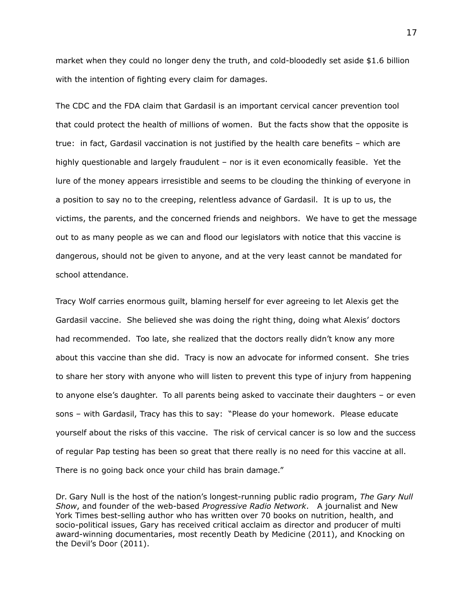market when they could no longer deny the truth, and cold-bloodedly set aside \$1.6 billion with the intention of fighting every claim for damages.

The CDC and the FDA claim that Gardasil is an important cervical cancer prevention tool that could protect the health of millions of women. But the facts show that the opposite is true: in fact, Gardasil vaccination is not justified by the health care benefits – which are highly questionable and largely fraudulent – nor is it even economically feasible. Yet the lure of the money appears irresistible and seems to be clouding the thinking of everyone in a position to say no to the creeping, relentless advance of Gardasil. It is up to us, the victims, the parents, and the concerned friends and neighbors. We have to get the message out to as many people as we can and flood our legislators with notice that this vaccine is dangerous, should not be given to anyone, and at the very least cannot be mandated for school attendance.

Tracy Wolf carries enormous guilt, blaming herself for ever agreeing to let Alexis get the Gardasil vaccine. She believed she was doing the right thing, doing what Alexis' doctors had recommended. Too late, she realized that the doctors really didn't know any more about this vaccine than she did. Tracy is now an advocate for informed consent. She tries to share her story with anyone who will listen to prevent this type of injury from happening to anyone else's daughter. To all parents being asked to vaccinate their daughters – or even sons – with Gardasil, Tracy has this to say: "Please do your homework. Please educate yourself about the risks of this vaccine. The risk of cervical cancer is so low and the success of regular Pap testing has been so great that there really is no need for this vaccine at all. There is no going back once your child has brain damage."

Dr. Gary Null is the host of the nation's longest-running public radio program, *The Gary Null Show*, and founder of the web-based *Progressive Radio Network*. A journalist and New York Times best-selling author who has written over 70 books on nutrition, health, and socio-political issues, Gary has received critical acclaim as director and producer of multi award-winning documentaries, most recently Death by Medicine (2011), and Knocking on the Devil's Door (2011).

17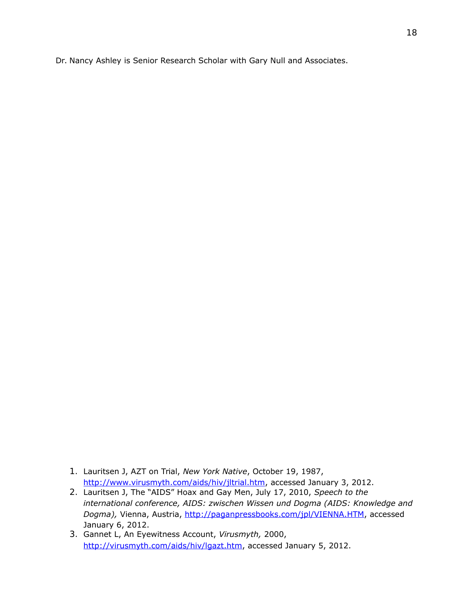Dr. Nancy Ashley is Senior Research Scholar with Gary Null and Associates.

- 1. Lauritsen J, AZT on Trial, *New York Native*, October 19, 1987, [http://www.virusmyth.com/aids/hiv/jltrial.htm,](http://www.virusmyth.com/aids/hiv/jltrial.htm) accessed January 3, 2012.
- 2. Lauritsen J, The "AIDS" Hoax and Gay Men, July 17, 2010, *Speech to the international conference, AIDS: zwischen Wissen und Dogma (AIDS: Knowledge and Dogma),* Vienna, Austria, [http://paganpressbooks.com/jpl/VIENNA.HTM,](http://paganpressbooks.com/jpl/VIENNA.HTM) accessed January 6, 2012.
- 3. Gannet L, An Eyewitness Account, *Virusmyth,* 2000, [http://virusmyth.com/aids/hiv/lgazt.htm,](http://virusmyth.com/aids/hiv/lgazt.htm) accessed January 5, 2012.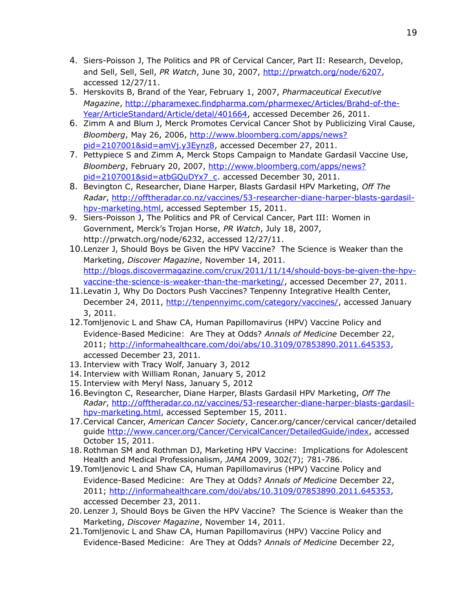- 4. Siers-Poisson J, The Politics and PR of Cervical Cancer, Part II: Research, Develop, and Sell, Sell, Sell, *PR Watch*, June 30, 2007, [http://prwatch.org/node/6207,](http://prwatch.org/node/6207) accessed 12/27/11.
- 5. Herskovits B, Brand of the Year, February 1, 2007, *Pharmaceutical Executive Magazine*, [http://pharamexec.findpharma.com/pharmexec/Articles/Brahd-of-the-](http://pharamexec.findpharma.com/pharmexec/Articles/Brahd-of-the-Year/ArticleStandard/Article/detal/401664)[Year/ArticleStandard/Article/detal/401664,](http://pharamexec.findpharma.com/pharmexec/Articles/Brahd-of-the-Year/ArticleStandard/Article/detal/401664) accessed December 26, 2011.
- 6. Zimm A and Blum J, Merck Promotes Cervical Cancer Shot by Publicizing Viral Cause, *Bloomberg*, May 26, 2006, [http://www.bloomberg.com/apps/news?](http://www.bloomberg.com/apps/news?pid=2107001&sid=amVj.y3Eynz8) [pid=2107001&sid=amVj.y3Eynz8,](http://www.bloomberg.com/apps/news?pid=2107001&sid=amVj.y3Eynz8) accessed December 27, 2011.
- 7. Pettypiece S and Zimm A, Merck Stops Campaign to Mandate Gardasil Vaccine Use, *Bloomberg*, February 20, 2007, [http://www.bloomberg.com/apps/news?](http://www.bloomberg.com/apps/news?pid=2107001&sid=atbGQuDYx7_c) [pid=2107001&sid=atbGQuDYx7\\_c.](http://www.bloomberg.com/apps/news?pid=2107001&sid=atbGQuDYx7_c) accessed December 30, 2011.
- 8. Bevington C, Researcher, Diane Harper, Blasts Gardasil HPV Marketing, *Off The Radar*, [http://offtheradar.co.nz/vaccines/53-researcher-diane-harper-blasts-gardasil](http://offtheradar.co.nz/vaccines/53-researcher-diane-harper-blasts-gardasil-hpv-marketing.html)[hpv-marketing.html,](http://offtheradar.co.nz/vaccines/53-researcher-diane-harper-blasts-gardasil-hpv-marketing.html) accessed September 15, 2011.
- 9. Siers-Poisson J, The Politics and PR of Cervical Cancer, Part III: Women in Government, Merck's Trojan Horse, *PR Watch*, July 18, 2007, http://prwatch.org/node/6232, accessed 12/27/11.
- 10.Lenzer J, Should Boys be Given the HPV Vaccine? The Science is Weaker than the Marketing, *Discover Magazine*, November 14, 2011. [http://blogs.discovermagazine.com/crux/2011/11/14/should-boys-be-given-the-hpv](http://blogs.discovermagazine.com/crux/2011/11/14/should-boys-be-given-the-hpv-vaccine-the-science-is-weaker-than-the-marketing/)[vaccine-the-science-is-weaker-than-the-marketing/,](http://blogs.discovermagazine.com/crux/2011/11/14/should-boys-be-given-the-hpv-vaccine-the-science-is-weaker-than-the-marketing/) accessed December 27, 2011.
- 11.Levatin J, Why Do Doctors Push Vaccines? Tenpenny Integrative Health Center, December 24, 2011, [http://tenpennyimc.com/category/vaccines/,](http://tenpennyimc.com/category/vaccines/) accessed January 3, 2011.
- 12.Tomljenovic L and Shaw CA, Human Papillomavirus (HPV) Vaccine Policy and Evidence-Based Medicine: Are They at Odds? *Annals of Medicine* December 22, 2011; [http://informahealthcare.com/doi/abs/10.3109/07853890.2011.645353,](http://informahealthcare.com/doi/abs/10.3109/07853890.2011.645353) accessed December 23, 2011.
- 13. Interview with Tracy Wolf, January 3, 2012
- 14. Interview with William Ronan, January 5, 2012
- 15. Interview with Meryl Nass, January 5, 2012
- 16.Bevington C, Researcher, Diane Harper, Blasts Gardasil HPV Marketing, *Off The Radar*, [http://offtheradar.co.nz/vaccines/53-researcher-diane-harper-blasts-gardasil](http://offtheradar.co.nz/vaccines/53-researcher-diane-harper-blasts-gardasil-hpv-marketing.html)[hpv-marketing.html,](http://offtheradar.co.nz/vaccines/53-researcher-diane-harper-blasts-gardasil-hpv-marketing.html) accessed September 15, 2011.
- 17.Cervical Cancer, *American Cancer Society*, Cancer.org/cancer/cervical cancer/detailed guide [http://www.cancer.org/Cancer/CervicalCancer/DetailedGuide/index,](http://www.cancer.org/Cancer/CervicalCancer/DetailedGuide/index) accessed October 15, 2011.
- 18.Rothman SM and Rothman DJ, Marketing HPV Vaccine: Implications for Adolescent Health and Medical Professionalism, *JAMA* 2009, 302(7); 781-786.
- 19.Tomljenovic L and Shaw CA, Human Papillomavirus (HPV) Vaccine Policy and Evidence-Based Medicine: Are They at Odds? *Annals of Medicine* December 22, 2011; [http://informahealthcare.com/doi/abs/10.3109/07853890.2011.645353,](http://informahealthcare.com/doi/abs/10.3109/07853890.2011.645353) accessed December 23, 2011.
- 20.Lenzer J, Should Boys be Given the HPV Vaccine? The Science is Weaker than the Marketing, *Discover Magazine*, November 14, 2011.
- 21.Tomljenovic L and Shaw CA, Human Papillomavirus (HPV) Vaccine Policy and Evidence-Based Medicine: Are They at Odds? *Annals of Medicine* December 22,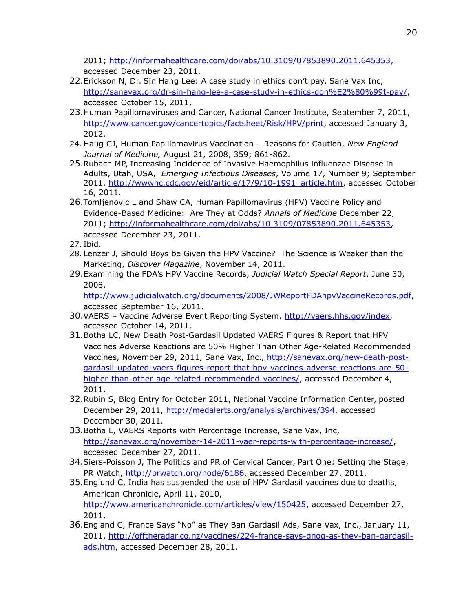2011; [http://informahealthcare.com/doi/abs/10.3109/07853890.2011.645353,](http://informahealthcare.com/doi/abs/10.3109/07853890.2011.645353) accessed December 23, 2011.

- 22.Erickson N, Dr. Sin Hang Lee: A case study in ethics don't pay, Sane Vax Inc, [http://sanevax.org/dr-sin-hang-lee-a-case-study-in-ethics-don%E2%80%99t-pay/,](http://sanevax.org/dr-sin-hang-lee-a-case-study-in-ethics-don%E2%80%99t-pay/) accessed October 15, 2011.
- 23.Human Papillomaviruses and Cancer, National Cancer Institute, September 7, 2011, [http://www.cancer.gov/cancertopics/factsheet/Risk/HPV/print,](http://www.cancer.gov/cancertopics/factsheet/Risk/HPV/print) accessed January 3, 2012.
- 24. Haug CJ, Human Papillomavirus Vaccination Reasons for Caution, *New England Journal of Medicine,* August 21, 2008, 359; 861-862.
- 25.Rubach MP, Increasing Incidence of Invasive Haemophilus influenzae Disease in Adults, Utah, USA, *Emerging Infectious Diseases*, Volume 17, Number 9; September 2011. [http://wwwnc.cdc.gov/eid/article/17/9/10-1991\\_article.htm,](http://wwwnc.cdc.gov/eid/article/17/9/10-1991_article.htm) accessed October 16, 2011.
- 26.Tomljenovic L and Shaw CA, Human Papillomavirus (HPV) Vaccine Policy and Evidence-Based Medicine: Are They at Odds? *Annals of Medicine* December 22, 2011; [http://informahealthcare.com/doi/abs/10.3109/07853890.2011.645353,](http://informahealthcare.com/doi/abs/10.3109/07853890.2011.645353) accessed December 23, 2011.
- 27. Ibid.
- 28.Lenzer J, Should Boys be Given the HPV Vaccine? The Science is Weaker than the Marketing, *Discover Magazine*, November 14, 2011.
- 29.Examining the FDA's HPV Vaccine Records, *Judicial Watch Special Report*, June 30, 2008,

[http://www.judicialwatch.org/documents/2008/JWReportFDAhpvVaccineRecords.pdf,](http://www.judicialwatch.org/documents/2008/JWReportFDAhpvVaccineRecords.pdf) accessed September 16, 2011.

- 30.VAERS Vaccine Adverse Event Reporting System. [http://vaers.hhs.gov/index,](http://vaers.hhs.gov/index) accessed October 14, 2011.
- 31.Botha LC, New Death Post-Gardasil Updated VAERS Figures & Report that HPV Vaccines Adverse Reactions are 50% Higher Than Other Age-Related Recommended Vaccines, November 29, 2011, Sane Vax, Inc., [http://sanevax.org/new-death-post](http://sanevax.org/new-death-post-gardasil-updated-vaers-figures-report-that-hpv-vaccines-adverse-reactions-are-50-higher-than-other-age-related-recommended-vaccines/)[gardasil-updated-vaers-figures-report-that-hpv-vaccines-adverse-reactions-are-50](http://sanevax.org/new-death-post-gardasil-updated-vaers-figures-report-that-hpv-vaccines-adverse-reactions-are-50-higher-than-other-age-related-recommended-vaccines/) [higher-than-other-age-related-recommended-vaccines/,](http://sanevax.org/new-death-post-gardasil-updated-vaers-figures-report-that-hpv-vaccines-adverse-reactions-are-50-higher-than-other-age-related-recommended-vaccines/) accessed December 4, 2011.
- 32.Rubin S, Blog Entry for October 2011, National Vaccine Information Center, posted December 29, 2011, [http://medalerts.org/analysis/archives/394,](http://medalerts.org/analysis/archives/394) accessed December 30, 2011.
- 33.Botha L, VAERS Reports with Percentage Increase, Sane Vax, Inc, [http://sanevax.org/november-14-2011-vaer-reports-with-percentage-increase/,](http://sanevax.org/november-14-2011-vaer-reports-with-percentage-increase/) accessed December 27, 2011.
- 34.Siers-Poisson J, The Politics and PR of Cervical Cancer, Part One: Setting the Stage, PR Watch, [http://prwatch.org/node/6186,](http://prwatch.org/node/6186) accessed December 27, 2011.
- 35.Englund C, India has suspended the use of HPV Gardasil vaccines due to deaths, American Chronicle, April 11, 2010, [http://www.americanchronicle.com/articles/view/150425,](http://www.americanchronicle.com/articles/view/150425) accessed December 27, 2011.
- 36.England C, France Says "No" as They Ban Gardasil Ads, Sane Vax, Inc., January 11, 2011, [http://offtheradar.co.nz/vaccines/224-france-says-qnoq-as-they-ban-gardasil](http://offtheradar.co.nz/vaccines/224-france-says-qnoq-as-they-ban-gardasil-ads.htm)[ads.htm,](http://offtheradar.co.nz/vaccines/224-france-says-qnoq-as-they-ban-gardasil-ads.htm) accessed December 28, 2011.